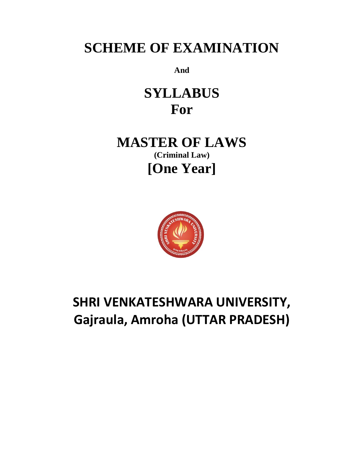# **SCHEME OF EXAMINATION**

**And**

**SYLLABUS For**

**MASTER OF LAWS (Criminal Law) [One Year]**



# **SHRI VENKATESHWARA UNIVERSITY, Gajraula, Amroha (UTTAR PRADESH)**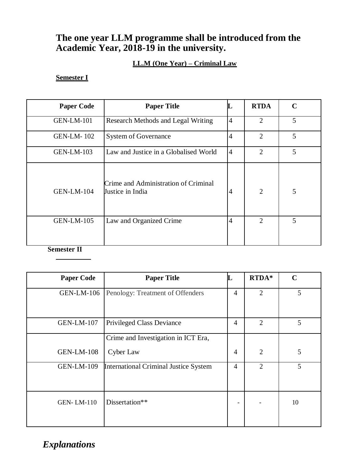# **The one year LLM programme shall be introduced from the Academic Year, 2018-19 in the university.**

# **LL.M (One Year) – Criminal Law**

## **Semester I**

| <b>Paper Code</b> | <b>Paper Title</b>                                       | L              | <b>RTDA</b>                 | $\mathbf C$ |
|-------------------|----------------------------------------------------------|----------------|-----------------------------|-------------|
| <b>GEN-LM-101</b> | Research Methods and Legal Writing                       | $\overline{4}$ | $\mathcal{D}_{\mathcal{L}}$ | 5           |
| <b>GEN-LM-102</b> | <b>System of Governance</b>                              | $\overline{4}$ | $\overline{2}$              | 5           |
| <b>GEN-LM-103</b> | Law and Justice in a Globalised World                    | $\overline{4}$ | $\overline{2}$              | 5           |
| <b>GEN-LM-104</b> | Crime and Administration of Criminal<br>Justice in India | $\overline{4}$ | $\overline{2}$              | 5           |
| <b>GEN-LM-105</b> | Law and Organized Crime                                  | $\overline{4}$ | $\mathfrak{D}$              | 5           |

**Semester II**

| <b>Paper Code</b> | <b>Paper Title</b>                           |   | RTDA*                       | $\mathbf C$ |
|-------------------|----------------------------------------------|---|-----------------------------|-------------|
| <b>GEN-LM-106</b> | Penology: Treatment of Offenders             | 4 | $\overline{2}$              | 5           |
| <b>GEN-LM-107</b> | <b>Privileged Class Deviance</b>             | 4 | $\mathcal{D}_{\mathcal{A}}$ | 5           |
|                   | Crime and Investigation in ICT Era,          |   |                             |             |
| <b>GEN-LM-108</b> | Cyber Law                                    | 4 | $\mathcal{D}_{\mathcal{A}}$ | 5           |
| <b>GEN-LM-109</b> | <b>International Criminal Justice System</b> | 4 | 2                           | 5           |
| <b>GEN-LM-110</b> | Dissertation**                               |   |                             | 10          |

*Explanations*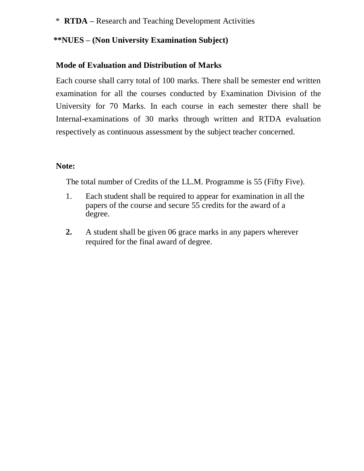\* **RTDA –** Research and Teaching Development Activities

# **\*\*NUES – (Non University Examination Subject)**

# **Mode of Evaluation and Distribution of Marks**

Each course shall carry total of 100 marks. There shall be semester end written examination for all the courses conducted by Examination Division of the University for 70 Marks. In each course in each semester there shall be Internal-examinations of 30 marks through written and RTDA evaluation respectively as continuous assessment by the subject teacher concerned.

## **Note:**

The total number of Credits of the LL.M. Programme is 55 (Fifty Five).

- 1. Each student shall be required to appear for examination in all the papers of the course and secure 55 credits for the award of a degree.
- **2.** A student shall be given 06 grace marks in any papers wherever required for the final award of degree.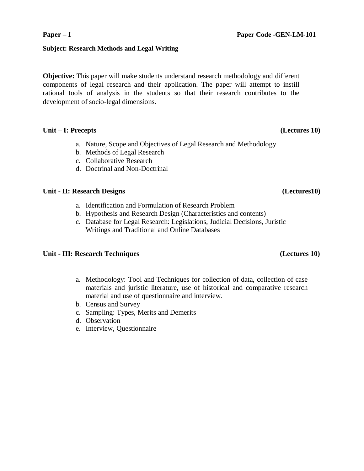### **Subject: Research Methods and Legal Writing**

**Objective:** This paper will make students understand research methodology and different components of legal research and their application. The paper will attempt to instill rational tools of analysis in the students so that their research contributes to the development of socio-legal dimensions.

### **Unit – I: Precepts (Lectures 10)**

- a. Nature, Scope and Objectives of Legal Research and Methodology
- b. Methods of Legal Research
- c. Collaborative Research
- d. Doctrinal and Non-Doctrinal

### **Unit - II: Research Designs (Lectures10)**

- a. Identification and Formulation of Research Problem
- b. Hypothesis and Research Design (Characteristics and contents)
- c. Database for Legal Research: Legislations, Judicial Decisions, Juristic Writings and Traditional and Online Databases

### **Unit - III: Research Techniques (Lectures 10)**

- a. Methodology: Tool and Techniques for collection of data, collection of case materials and juristic literature, use of historical and comparative research material and use of questionnaire and interview.
- b. Census and Survey
- c. Sampling: Types, Merits and Demerits
- d. Observation
- e. Interview, Questionnaire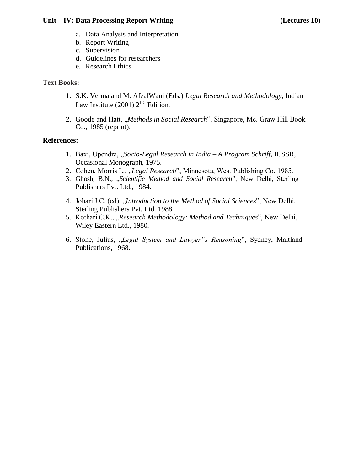### **Unit – IV: Data Processing Report Writing (Lectures 10)**

- a. Data Analysis and Interpretation
- b. Report Writing
- c. Supervision
- d. Guidelines for researchers
- e. Research Ethics

### **Text Books:**

- 1. S.K. Verma and M. AfzalWani (Eds.) *Legal Research and Methodology,* Indian Law Institute  $(2001)$   $2<sup>nd</sup>$  Edition.
- 2. Goode and Hatt, *"Methods in Social Research"*, Singapore, Mc. Graw Hill Book Co., 1985 (reprint).

- 1. Baxi, Upendra, "*Socio-Legal Research in India – A Program Schriff*, ICSSR, Occasional Monograph, 1975.
- 2. Cohen, Morris L., *"Legal Research"*, Minnesota, West Publishing Co. 1985.
- 3. Ghosh, B.N., "*Scientific Method and Social Research*", New Delhi, Sterling Publishers Pvt. Ltd., 1984.
- 4. Johari J.C. (ed), "*Introduction to the Method of Social Sciences*", New Delhi, Sterling Publishers Pvt. Ltd. 1988.
- 5. Kothari C.K., "*Research Methodology: Method and Techniques*", New Delhi, Wiley Eastern Ltd., 1980.
- 6. Stone, Julius, "*Legal System and Lawyer"s Reasoning*", Sydney, Maitland Publications, 1968.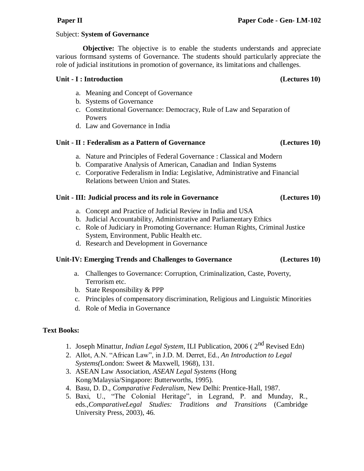### Subject: **System of Governance**

**Objective:** The objective is to enable the students understands and appreciate various formsand systems of Governance. The students should particularly appreciate the role of judicial institutions in promotion of governance, its limitations and challenges.

### **Unit - I : Introduction (Lectures 10)**

- a. Meaning and Concept of Governance
- b. Systems of Governance
- c. Constitutional Governance: Democracy, Rule of Law and Separation of Powers
- d. Law and Governance in India

### **Unit - II : Federalism as a Pattern of Governance (Lectures 10)**

- a. Nature and Principles of Federal Governance : Classical and Modern
- b. Comparative Analysis of American, Canadian and Indian Systems
- c. Corporative Federalism in India: Legislative, Administrative and Financial Relations between Union and States.

### **Unit - III: Judicial process and its role in Governance (Lectures 10)**

- a. Concept and Practice of Judicial Review in India and USA
- b. Judicial Accountability, Administrative and Parliamentary Ethics
- c. Role of Judiciary in Promoting Governance: Human Rights, Criminal Justice System, Environment, Public Health etc.
- d. Research and Development in Governance

### **Unit-IV: Emerging Trends and Challenges to Governance (Lectures 10)**

- a. Challenges to Governance: Corruption, Criminalization, Caste, Poverty, Terrorism etc.
- b. State Responsibility & PPP
- c. Principles of compensatory discrimination, Religious and Linguistic Minorities
- d. Role of Media in Governance

### **Text Books:**

- 1. Joseph Minattur, *Indian Legal System*, ILI Publication, 2006 ( 2nd Revised Edn)
- 2. Allot, A.N. "African Law", in J.D. M. Derret, Ed., *An Introduction to Legal Systems(*London: Sweet & Maxwell, 1968), 131.
- 3. ASEAN Law Association, *ASEAN Legal Systems* (Hong Kong/Malaysia/Singapore: Butterworths, 1995).
- 4. Basu, D. D., *Comparative Federalism,* New Delhi: Prentice-Hall, 1987.
- 5. Baxi, U., "The Colonial Heritage", in Legrand, P. and Munday, R., eds.,*ComparativeLegal Studies: Traditions and Transitions* (Cambridge University Press, 2003), 46.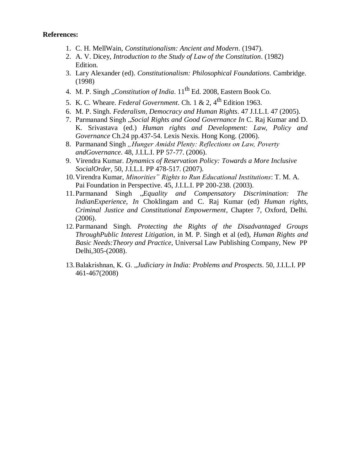- 1. C. H. MellWain, *Constitutionalism: Ancient and Modern*. (1947).
- 2. A. V. Dicey, *Introduction to the Study of Law of the Constitution*. (1982) Edition.
- 3. Lary Alexander (ed). *Constitutionalism: Philosophical Foundations*. Cambridge. (1998)
- 4. M. P. Singh *"Constitution of India*. 11<sup>th</sup> Ed. 2008, Eastern Book Co.
- 5. K. C. Wheare. *Federal Government*. Ch. 1 & 2, 4<sup>th</sup> Edition 1963.
- 6. M. P. Singh. *Federalism, Democracy and Human Rights*. 47 J.I.L.I. 47 (2005).
- 7. Parmanand Singh "*Social Rights and Good Governance In* C. Raj Kumar and D. K. Srivastava (ed.) *Human rights and Development: Law, Policy and Governance* Ch.24 pp.437-54. Lexis Nexis. Hong Kong. (2006).
- 8. Parmanand Singh "Hunger Amidst Plenty: Reflections on Law, Poverty *andGovernance*. 48, J.I.L.I. PP 57-77. (2006).
- 9. Virendra Kumar. *Dynamics of Reservation Policy: Towards a More Inclusive SocialOrder*, 50, J.I.L.I. PP 478-517. (2007).
- 10.Virendra Kumar, *Minorities" Rights to Run Educational Institutions*: T. M. A. Pai Foundation in Perspective. 45, J.I.L.I. PP 200-238. (2003).
- 11.Parmanand Singh "*Equality and Compensatory Discrimination: The IndianExperience*, *In* Choklingam and C. Raj Kumar (ed) *Human rights, Criminal Justice and Constitutional Empowerment*, Chapter 7, Oxford, Delhi. (2006).
- 12. Parmanand Singh. *Protecting the Rights of the Disadvantaged Groups ThroughPublic Interest Litigation*, in M. P. Singh et al (ed), *Human Rights and Basic Needs:Theory and Practice*, Universal Law Publishing Company, New PP Delhi,305-(2008).
- 13.Balakrishnan, K. G. "*Judiciary in India: Problems and Prospects*. 50, J.I.L.I. PP 461-467(2008)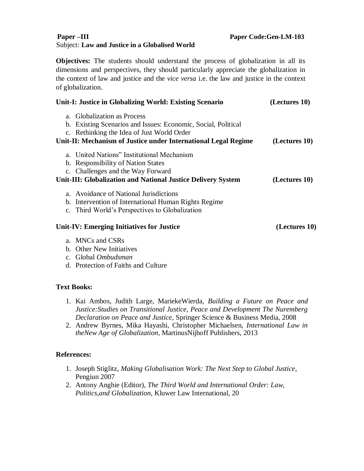### **Paper –III Paper Code:Gen-LM-103** Subject: **Law and Justice in a Globalised World**

**Objectives:** The students should understand the process of globalization in all its dimensions and perspectives, they should particularly appreciate the globalization in the context of law and justice and the *vice versa* i.e. the law and justice in the context of globalization.

| Unit-I: Justice in Globalizing World: Existing Scenario        | (Lectures 10) |
|----------------------------------------------------------------|---------------|
| a. Globalization as Process                                    |               |
| b. Existing Scenarios and Issues: Economic, Social, Political  |               |
| c. Rethinking the Idea of Just World Order                     |               |
| Unit-II: Mechanism of Justice under International Legal Regime | (Lectures 10) |
| a. United Nations" Institutional Mechanism                     |               |
| b. Responsibility of Nation States                             |               |
| c. Challenges and the Way Forward                              |               |
| Unit-III: Globalization and National Justice Delivery System   | (Lectures 10) |
| a. Avoidance of National Jurisdictions                         |               |
| b. Intervention of International Human Rights Regime           |               |
| c. Third World's Perspectives to Globalization                 |               |
| Unit-IV: Emerging Initiatives for Justice                      | (Lectures 10) |
| a. MNCs and CSRs                                               |               |
| b. Other New Initiatives                                       |               |
| c. Global Ombudsman                                            |               |
| d. Protection of Faiths and Culture                            |               |

### **Text Books:**

- 1. Kai Ambos, Judith Large, MariekeWierda, *Building a Future on Peace and Justice:Studies on Transitional Justice, Peace and Development The Nuremberg Declaration on Peace and Justice*, Springer Science & Business Media, 2008
- 2. Andrew Byrnes, Mika Hayashi, Christopher Michaelsen, *International Law in theNew Age of Globalization,* MartinusNijhoff Publishers, 2013

- 1. Joseph Stiglitz, *Making Globalisation Work: The Next Step to Global Justice*, Pengiun 2007
- 2. Antony Anghie (Editor), *The Third World and International Order: Law, Politics,and Globalization,* Kluwer Law International, 20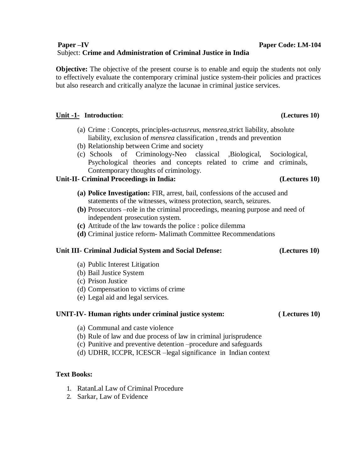### **Paper –IV Paper Code: LM-104** Subject: **Crime and Administration of Criminal Justice in India**

**Objective:** The objective of the present course is to enable and equip the students not only to effectively evaluate the contemporary criminal justice system-their policies and practices but also research and critically analyze the lacunae in criminal justice services.

### **Unit -1- Introduction**: **(Lectures 10)**

- (a) Crime : Concepts, principles-*actusreus, mensrea*,strict liability, absolute liability, exclusion of *mensrea* classification , trends and prevention
- (b) Relationship between Crime and society
- (c) Schools of Criminology**-**Neo classical ,Biological, Sociological, Psychological theories and concepts related to crime and criminals, Contemporary thoughts of criminology.

### **Unit-II- Criminal Proceedings in India: (Lectures 10)**

- **(a) Police Investigation:** FIR, arrest, bail, confessions of the accused and statements of the witnesses, witness protection, search, seizures.
- **(b)** Prosecutors –role in the criminal proceedings, meaning purpose and need of independent prosecution system.
- **(c)** Attitude of the law towards the police : police dilemma
- **(d)** Criminal justice reform- Malimath Committee Recommendations

### **Unit III- Criminal Judicial System and Social Defense: (Lectures 10)**

- (a) Public Interest Litigation
- (b) Bail Justice System
- (c) Prison Justice
- (d) Compensation to victims of crime
- (e) Legal aid and legal services.

### **UNIT-IV- Human rights under criminal justice system: ( Lectures 10)**

- (a) Communal and caste violence
- (b) Rule of law and due process of law in criminal jurisprudence
- (c) Punitive and preventive detention –procedure and safeguards
- (d) UDHR, ICCPR, ICESCR –legal significance in Indian context

### **Text Books:**

- 1. RatanLal Law of Criminal Procedure
- 2. Sarkar, Law of Evidence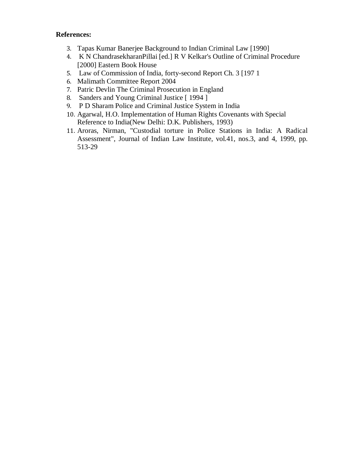- 3. Tapas Kumar Banerjee Background to Indian Criminal Law [1990]
- 4. K N ChandrasekharanPillai [ed.] R V Kelkar's Outline of Criminal Procedure [2000] Eastern Book House
- 5. Law of Commission of India, forty-second Report Ch. 3 [197 1
- 6. Malimath Committee Report 2004
- 7. Patric Devlin The Criminal Prosecution in England
- 8. Sanders and Young Criminal Justice [ 1994 ]
- 9. P D Sharam Police and Criminal Justice System in India
- 10. Agarwal, H.O. Implementation of Human Rights Covenants with Special Reference to India(New Delhi: D.K. Publishers, 1993)
- 11. Aroras, Nirman, "Custodial torture in Police Stations in India: A Radical Assessment", Journal of Indian Law Institute, vol.41, nos.3, and 4, 1999, pp. 513-29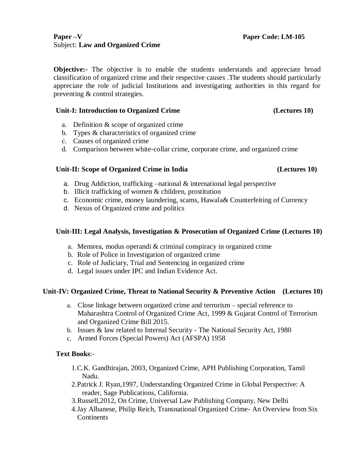### **Paper –V Paper Code: LM-105** Subject: **Law and Organized Crime**

**Objective:** The objective is to enable the students understands and appreciate broad classification of organized crime and their respective causes .The students should particularly appreciate the role of judicial Institutions and investigating authorities in this regard for preventing & control strategies.

### Unit-I: Introduction to Organized Crime (Lectures 10)

- a. Definition & scope of organized crime
- b. Types & characteristics of organized crime
- c. Causes of organized crime
- d. Comparison between white-collar crime, corporate crime, and organized crime

### Unit-II: Scope of Organized Crime in India (Lectures 10)

- a. Drug Addiction, trafficking –national & international legal perspective
- b. Illicit trafficking of women & children, prostitution
- c. Economic crime, money laundering, scams, Hawala& Counterfeiting of Currency
- d. Nexus of Organized crime and politics

### **Unit-III: Legal Analysis, Investigation & Prosecution of Organized Crime (Lectures 10)**

- a. Mensrea, modus operandi & criminal conspiracy in organized crime
- b. Role of Police in Investigation of organized crime
- c. Role of Judiciary, Trial and Sentencing in organized crime
- d. Legal issues under IPC and Indian Evidence Act.

### **Unit-IV: Organized Crime, Threat to National Security & Preventive Action (Lectures 10)**

- a. Close linkage between organized crime and terrorism special reference to Maharashtra Control of Organized Crime Act, 1999 & Gujarat Control of Terrorism and Organized Crime Bill 2015.
- b. Issues & law related to Internal Security The National Security Act, 1980
- c. Armed Forces (Special Powers) Act (AFSPA) 1958

### **Text Books**:-

- 1.C.K. Gandhirajan, 2003, Organized Crime, APH Publishing Corporation, Tamil Nadu.
- 2.Patrick J. Ryan,1997, Understanding Organized Crime in Global Perspective: A reader, Sage Publications, California.
- 3.Russell,2012, On Crime, Universal Law Publishing Company, New Delhi
- 4.Jay Albanese, Philip Reich, Transnational Organized Crime- An Overview from Six Continents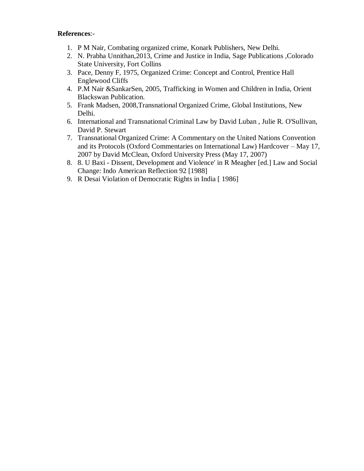- 1. P M Nair, Combating organized crime, Konark Publishers, New Delhi.
- 2. N. Prabha Unnithan,2013, Crime and Justice in India, Sage Publications ,Colorado State University, Fort Collins
- 3. Pace, Denny F, 1975, Organized Crime: Concept and Control, Prentice Hall Englewood Cliffs
- 4. P.M Nair &SankarSen, 2005, Trafficking in Women and Children in India, Orient Blackswan Publication.
- 5. Frank Madsen, 2008,Transnational Organized Crime, Global Institutions, New Delhi.
- 6. International and Transnational Criminal Law by David Luban , Julie R. O'Sullivan, David P. Stewart
- 7. Transnational Organized Crime: A Commentary on the United Nations Convention and its Protocols (Oxford Commentaries on International Law) Hardcover – May 17, 2007 by David McClean, Oxford University Press (May 17, 2007)
- 8. 8. U Baxi Dissent, Development and Violence' in R Meagher [ed.] Law and Social Change: Indo American Reflection 92 [1988]
- 9. R Desai Violation of Democratic Rights in India [ 1986]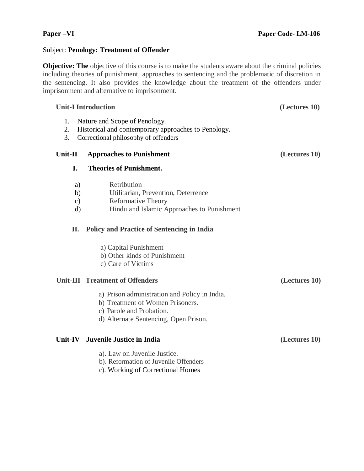### Subject: **Penology: Treatment of Offender**

**Objective: The** objective of this course is to make the students aware about the criminal policies including theories of punishment, approaches to sentencing and the problematic of discretion in the sentencing. It also provides the knowledge about the treatment of the offenders under imprisonment and alternative to imprisonment.

### **Unit-I Introduction (Lectures 10)**

- 1. Nature and Scope of Penology.
- 2. Historical and contemporary approaches to Penology.
- 3. Correctional philosophy of offenders

### **Unit-II Approaches to Punishment (Lectures 10)**

### **I. Theories of Punishment.**

- a) Retribution
- b) Utilitarian, Prevention, Deterrence
- c) Reformative Theory
- d) Hindu and Islamic Approaches to Punishment

### **II. Policy and Practice of Sentencing in India**

- a) Capital Punishment
- b) Other kinds of Punishment
- c) Care of Victims

### **Unit-III Treatment of Offenders (Lectures 10)**

- a) Prison administration and Policy in India.
- b) Treatment of Women Prisoners.
- c) Parole and Probation.
- d) Alternate Sentencing, Open Prison.

### **Unit-IV Juvenile Justice in India (Lectures 10)**

- a). Law on Juvenile Justice.
- b). Reformation of Juvenile Offenders
- c). Working of Correctional Homes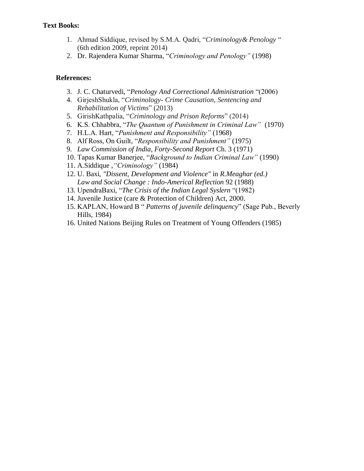### **Text Books:**

- 1. Ahmad Siddique, revised by S.M.A. Qadri, "*Criminology& Penology* " (6th edition 2009, reprint 2014)
- 2. Dr. Rajendera Kumar Sharma, "*Criminology and Penology"* (1998)

- 3. [J. C. Chaturvedi, "](http://www.flipkart.com/author/j-c-chaturvedi)*Penology And Correctional Administration* "(2006)
- 4. GirjeshShukla, "*Criminology- Crime Causation, Sentencing and Rehabilitation of Victims*" (2013)
- 5. GirishKathpalia, "*Criminology and Prison Reforms*" (2014)
- 6. K.S. Chhabbra, "*The Quantum of Punishment in Criminal Law"* (1970)
- 7. H.L.A. Hart, "*Punishment and Responsibility"* (1968)
- 8. Alf Ross, On Guilt, "*Responsibility and Punishment"* (1975)
- 9. *Law Commission of India, Forty-Second Report* Ch. 3 (1971)
- 10. Tapas Kumar Banerjee, "*Background to Indian Criminal Law"* (1990)
- 11. A.Siddique ,*"Criminology"* (1984)
- 12. U. Baxi, *"Dissent, Development and Violence"* in *R.Meaghar (ed.) Law and Social Change : Indo-Americal Reflection* 92 (1988)
- 13. UpendraBaxi, "*The Crisis of the Indian Legal Syslern* "(1982)
- 14. Juvenile Justice (care & Protection of Children) Act, 2000.
- 15. KAPLAN, Howard B " *Patterns of juvenile delinquency*" (Sage Pub., Beverly Hills, 1984)
- 16. United Nations Beijing Rules on Treatment of Young Offenders (1985)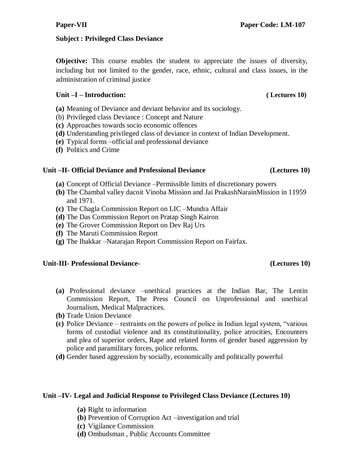# **Subject : Privileged Class Deviance**

**Objective:** This course enables the student to appreciate the issues of diversity, including but not limited to the gender, race, ethnic, cultural and class issues, in the administration of criminal justice

# **Unit –I – Introduction: ( Lectures 10)**

- **(a)** Meaning of Deviance and deviant behavior and its sociology.
- (b) Privileged class Deviance : Concept and Nature
- **(c)** Approaches towards socio economic offences
- **(d)** Understanding privileged class of deviance in context of Indian Development.
- **(e)** Typical forms –official and professional deviance
- **(f)** Politics and Crime

# **Unit –II- Official Deviance and Professional Deviance (Lectures 10)**

- **(a)** Concept of Official Deviance –Permissible limits of discretionary powers
- **(b)** The Chambal valley dacoit Vinoba Mission and Jai PrakashNarainMission in 11959 and 1971.
- **(c)** The Chagla Commission Report on LIC –Mundra Affair
- **(d)** The Das Commission Report on Pratap Singh Kairon
- **(e)** The Grover Commission Report on Dev Raj Urs
- **(f)** The Maruti Commission Report
- **(g)** The Ibakkar –Natarajan Report Commission Report on Fairfax.

# **Unit-III- Professional Deviance- (Lectures 10)**

- **(a)** Professional deviance –unethical practices at the Indian Bar, The Lentin Commission Report, The Press Council on Unprofessional and unethical Journalism, Medical Malpractices.
- **(b)** Trade Union Deviance
- **(c)** Police Deviance restraints on the powers of police in Indian legal system, "various forms of custodial violence and its constitutionality, police atrocities, Encounters and plea of superior orders, Rape and related forms of gender based aggression by police and paramilitary forces, police reforms.
- **(d)** Gender based aggression by socially, economically and politically powerful

# **Unit –IV- Legal and Judicial Response to Privileged Class Deviance (Lectures 10)**

- **(a)** Right to information
- **(b)** Prevention of Corruption Act –investigation and trial
- **(c)** Vigilance Commission
- **(d)** Ombudsman , Public Accounts Committee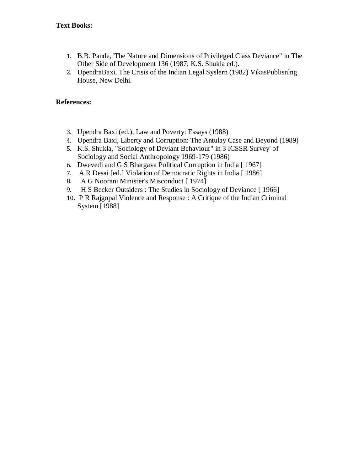- 1. B.B. Pande, 'The Nature and Dimensions of Privileged Class Deviance" in The Other Side of Development 136 (1987; K.S. Shukla ed.).
- 2. UpendraBaxi, The Crisis of the Indian Legal Syslern (1982) VikasPublisnlng House, New Delhi.

- 3. Upendra Baxi (ed.), Law and Poverty: Essays (1988)
- 4. Upendra Baxi, Liberty and Corruption: The Antulay Case and Beyond (1989)
- 5. K.S. Shukla, "Sociology of Deviant Behaviour" in 3 ICSSR Survey' of Sociology and Social Anthropology 1969-179 (1986)
- 6. Dwevedi and G S Bhargava Political Corruption in India [ 1967]
- 7. A R Desai [ed.] Violation of Democratic Rights in India [ 1986]
- 8. A G Noorani Minister's Misconduct [ 1974]
- 9. H S Becker Outsiders : The Studies in Sociology of Deviance [ 1966]
- 10. P R Rajgopal Violence and Response : A Critique of the Indian Criminal System [1988]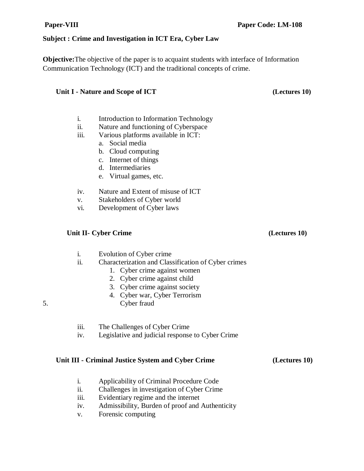### **Subject : Crime and Investigation in ICT Era, Cyber Law**

**Objective:**The objective of the paper is to acquaint students with interface of Information Communication Technology (ICT) and the traditional concepts of crime.

### **Unit I - Nature and Scope of ICT (Lectures 10)**

- i. Introduction to Information Technology
- ii. Nature and functioning of Cyberspace
- iii. Various platforms available in ICT:
	- a. Social media
	- b. Cloud computing
	- c. Internet of things
	- d. Intermediaries
	- e. Virtual games, etc.
- iv. Nature and Extent of misuse of ICT
- v. Stakeholders of Cyber world
- vi. Development of Cyber laws

### **Unit II- Cyber Crime (Lectures 10)**

- i. Evolution of Cyber crime
- ii. Characterization and Classification of Cyber crimes
	- 1. Cyber crime against women
	- 2. Cyber crime against child
	- 3. Cyber crime against society
	- 4. Cyber war, Cyber Terrorism
- 5. Cyber fraud
	- iii. The Challenges of Cyber Crime
	- iv. Legislative and judicial response to Cyber Crime

### **Unit III - Criminal Justice System and Cyber Crime (Lectures 10)**

- i. Applicability of Criminal Procedure Code
- ii. Challenges in investigation of Cyber Crime
- iii. Evidentiary regime and the internet
- iv. Admissibility, Burden of proof and Authenticity
- v. Forensic computing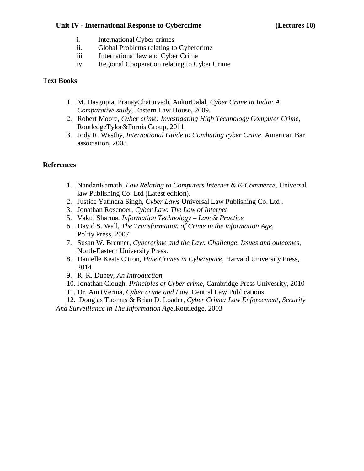### **Unit IV - International Response to Cybercrime (Lectures 10)**

- i. International Cyber crimes
- ii. Global Problems relating to Cybercrime
- iii International law and Cyber Crime
- iv Regional Cooperation relating to Cyber Crime

### **Text Books**

- 1. M. Dasgupta, PranayChaturvedi, AnkurDalal, *Cyber Crime in India: A Comparative study*, Eastern Law House, 2009.
- 2. Robert Moore, *Cyber crime: Investigating High Technology Computer Crime*, RoutledgeTylor&Fornis Group, 2011
- 3. Jody R. Westby, *International Guide to Combating cyber Crime*, American Bar association, 2003

### **References**

- 1. NandanKamath, *Law Relating to Computers Internet & E-Commerce*, Universal law Publishing Co. Ltd (Latest edition).
- 2. Justice Yatindra Singh, *Cyber Laws* Universal Law Publishing Co. Ltd .
- 3. Jonathan Rosenoer, *Cyber Law: The Law of Internet*
- 5. Vakul Sharma, *Information Technology – Law & Practice*
- *6.* David S. Wall*, The Transformation of Crime in the information Age,* Polity Press, 2007
- 7. Susan W. Brenner, *Cybercrime and the Law: Challenge, Issues and outcomes*, North-Eastern University Press.
- 8. Danielle Keats Citron, *Hate Crimes in Cyberspace*, Harvard University Press, 2014
- 9. R. K. Dubey, *An Introduction*
- 10. Jonathan Clough, *Principles of Cyber crime*, Cambridge Press Univesrity, 2010
- 11. Dr. AmitVerma, *Cyber crime and Law*, Central Law Publications

12. Douglas Thomas & Brian D. Loader, *Cyber Crime: Law Enforcement, Security And Surveillance in The Information Age,*Routledge, 2003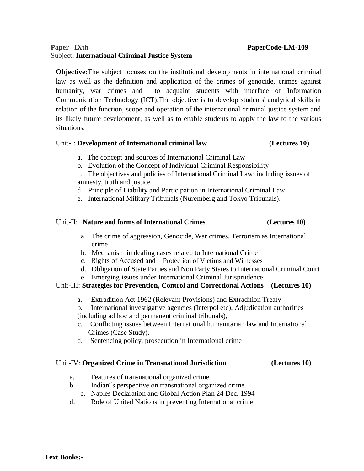### Paper –IXth **Paper –IXth** Paper – **Paper – Paper – Paper – Paper – Paper – Paper – Paper – Paper – Paper – Paper – Paper – Paper – Paper – Paper – Paper – Paper – Paper – Paper – Paper – Paper – Paper – Paper – Paper – Pap** Subject: **International Criminal Justice System**

**Objective:**The subject focuses on the institutional developments in international criminal law as well as the definition and application of the crimes of genocide, crimes against humanity, war crimes and to acquaint students with interface of Information Communication Technology (ICT).The objective is to develop students' analytical skills in relation of the function, scope and operation of the international criminal justice system and its likely future development, as well as to enable students to apply the law to the various situations.

### Unit-I: **Development of International criminal law (Lectures 10)**

- a. The concept and sources of International Criminal Law
- b. Evolution of the Concept of Individual Criminal Responsibility
- c. The objectives and policies of International Criminal Law; including issues of amnesty, truth and justice
- d. Principle of Liability and Participation in International Criminal Law
- e. International Military Tribunals (Nuremberg and Tokyo Tribunals).

### Unit-II: **Nature and forms of International Crimes (Lectures 10)**

- a. The crime of aggression, Genocide, War crimes, Terrorism as International crime
- b. Mechanism in dealing cases related to International Crime
- c. Rights of Accused and Protection of Victims and Witnesses
- d. Obligation of State Parties and Non Party States to International Criminal Court
- e. Emerging issues under International Criminal Jurisprudence.

### Unit-III: **Strategies for Prevention, Control and Correctional Actions (Lectures 10)**

a. Extradition Act 1962 (Relevant Provisions) and Extradition Treaty

b. International investigative agencies (Interpol etc), Adjudication authorities (including ad hoc and permanent criminal tribunals),

- c. Conflicting issues between International humanitarian law and International Crimes (Case Study).
- d. Sentencing policy, prosecution in International crime

### Unit-IV: **Organized Crime in Transnational Jurisdiction (Lectures 10)**

- a. Features of transnational organized crime
- b. Indian"s perspective on transnational organized crime
- c. Naples Declaration and Global Action Plan 24 Dec. 1994
- d. Role of United Nations in preventing International crime